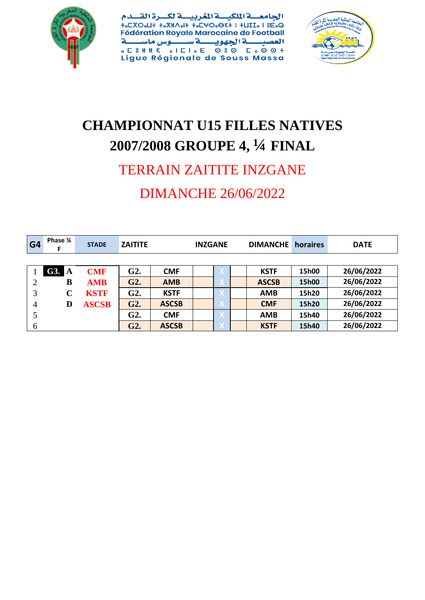

الجامعسة الملكيسة المغربيسة لكسرة الق ے م **Fédération Royale Marocaine de Football** ے س ة الجهويب العصب سنوس ماسا Ã **SESANT SIELSE 080 ESOST**<br>Ligue Régionale de Souss Massa



## **CHAMPIONNAT U15 FILLES NATIVES 2007/2008 GROUPE 4, ¼ FINAL**

# TERRAIN ZAITITE INZGANE

### DIMANCHE 26/06/2022

| G <sub>4</sub> | Phase 1/4<br>F | <b>STADE</b> | <b>ZAITITE</b> | <b>INZGANE</b> |  |  | <b>DIMANCHE</b> | horaires     | <b>DATE</b> |            |
|----------------|----------------|--------------|----------------|----------------|--|--|-----------------|--------------|-------------|------------|
|                |                |              |                |                |  |  |                 |              |             |            |
|                | G3. A          | <b>CMF</b>   | G2.            | <b>CMF</b>     |  |  |                 | <b>KSTF</b>  | 15h00       | 26/06/2022 |
| 2              | B              | <b>AMB</b>   | G2.            | <b>AMB</b>     |  |  |                 | <b>ASCSB</b> | 15h00       | 26/06/2022 |
| 3              | $\mathbf C$    | <b>KSTF</b>  | G2.            | <b>KSTF</b>    |  |  |                 | <b>AMB</b>   | 15h20       | 26/06/2022 |
| 4              | D              | <b>ASCSB</b> | G2.            | <b>ASCSB</b>   |  |  |                 | <b>CMF</b>   | 15h20       | 26/06/2022 |
| 5              |                |              | G2.            | <b>CMF</b>     |  |  |                 | <b>AMB</b>   | 15h40       | 26/06/2022 |
| 6              |                |              | G2.            | <b>ASCSB</b>   |  |  |                 | <b>KSTF</b>  | 15h40       | 26/06/2022 |